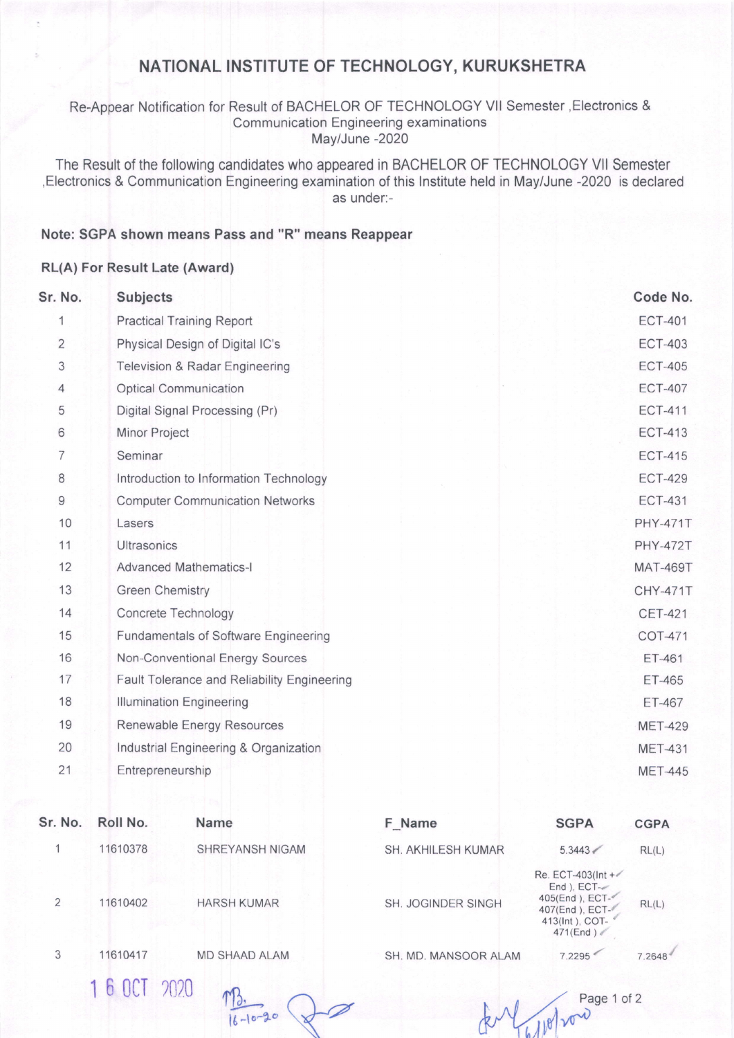## NATIONAL INSTITUTE OF TECHNOLOGY, KURUKSHETRA

Re-Appear Notification for Result of BACHELOR OF TECHNOLOGY Vll Semester ,Electronics & Communication Engineering examinations May/June -2020

The Result of the following candidates who appeared in BACHELOR OF TECHNOLOGY Vll Semester ,Electronics & Communication Engineering examination of this lnstitute held in May/June -2020 is declared as under:-

## Note: SGPA shown means Pass and "R" means Reappear

## RL(A) For Result Late (Award)

| Sr. No.        | <b>Subjects</b>                             | Code No.        |
|----------------|---------------------------------------------|-----------------|
| 1              | <b>Practical Training Report</b>            | <b>ECT-401</b>  |
| $\overline{2}$ | Physical Design of Digital IC's             | <b>ECT-403</b>  |
| 3              | <b>Television &amp; Radar Engineering</b>   | <b>ECT-405</b>  |
| 4              | <b>Optical Communication</b>                | <b>ECT-407</b>  |
| 5              | Digital Signal Processing (Pr)              | <b>ECT-411</b>  |
| $6\,$          | <b>Minor Project</b>                        | <b>ECT-413</b>  |
| $\overline{7}$ | Seminar                                     | <b>ECT-415</b>  |
| $\,8\,$        | Introduction to Information Technology      | <b>ECT-429</b>  |
| $\mathsf 9$    | <b>Computer Communication Networks</b>      | <b>ECT-431</b>  |
| 10             | Lasers                                      | <b>PHY-471T</b> |
| 11             | <b>Ultrasonics</b>                          | <b>PHY-472T</b> |
| 12             | <b>Advanced Mathematics-I</b>               | <b>MAT-469T</b> |
| 13             | <b>Green Chemistry</b>                      | <b>CHY-471T</b> |
| 14             | Concrete Technology                         | <b>CET-421</b>  |
| 15             | <b>Fundamentals of Software Engineering</b> | COT-471         |
| 16             | Non-Conventional Energy Sources             | ET-461          |
| 17             | Fault Tolerance and Reliability Engineering | ET-465          |
| 18             | <b>Illumination Engineering</b>             | ET-467          |
| 19             | Renewable Energy Resources                  | <b>MET-429</b>  |
| 20             | Industrial Engineering & Organization       | <b>MET-431</b>  |
| 21             | Entrepreneurship                            | <b>MET-445</b>  |
|                |                                             |                 |

| Sr. No. | Roll No.   | <b>Name</b>          | F Name               | <b>SGPA</b>                                                                                        | <b>CGPA</b> |
|---------|------------|----------------------|----------------------|----------------------------------------------------------------------------------------------------|-------------|
|         | 11610378   | SHREYANSH NIGAM      | SH. AKHILESH KUMAR   | 5.3443                                                                                             | RL(L)       |
| 2       | 11610402   | <b>HARSH KUMAR</b>   | SH. JOGINDER SINGH   | Re. ECT-403(Int +<br>End ), ECT-<br>405(End), ECT-<br>407(End), ECT-<br>413(Int), COT-<br>471(End) | RL(L)       |
| 3       | 11610417   | <b>MD SHAAD ALAM</b> | SH. MD. MANSOOR ALAM | 7.2295                                                                                             | 7.2648      |
|         | 6 OCT 2020 | <b>MY</b>            |                      | Dana 1 af 2                                                                                        |             |

 $-10-20$ 

Page 1 of 2 For Pa